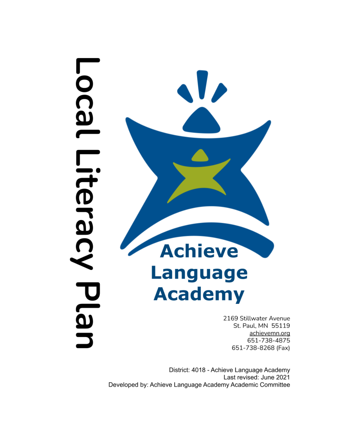# **Local** Litera Plar



2169 Stillwater Avenue St. Paul, MN 55119 achievemn.org 651-738-4875 651-738-8268 (Fax)

District: 4018 - Achieve Language Academy Last revised: June 2021 Developed by: Achieve Language Academy Academic Committee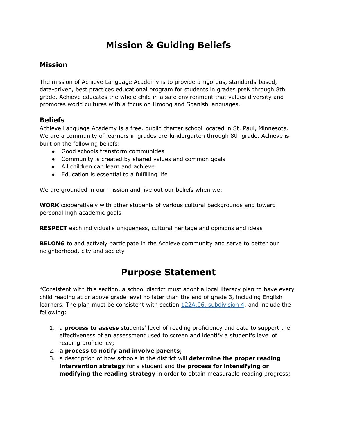# **Mission & Guiding Beliefs**

### **Mission**

The mission of Achieve Language Academy is to provide a rigorous, standards-based, data-driven, best practices educational program for students in grades preK through 8th grade. Achieve educates the whole child in a safe environment that values diversity and promotes world cultures with a focus on Hmong and Spanish languages.

### **Beliefs**

Achieve Language Academy is a free, public charter school located in St. Paul, Minnesota. We are a community of learners in grades pre-kindergarten through 8th grade. Achieve is built on the following beliefs:

- Good schools transform communities
- Community is created by shared values and common goals
- All children can learn and achieve
- Education is essential to a fulfilling life

We are grounded in our [mission](https://www.achievemn.org/) and live out our beliefs when we:

**WORK** cooperatively with other students of various cultural backgrounds and toward personal high academic goals

**RESPECT** each individual's uniqueness, cultural heritage and opinions and ideas

**BELONG** to and actively participate in the Achieve community and serve to better our neighborhood, city and society

## **Purpose Statement**

"Consistent with this section, a school district must adopt a local literacy plan to have every child reading at or above grade level no later than the end of grade 3, including English learners. The plan must be consistent with section 122A.06, [subdivision](https://www.revisor.mn.gov/statutes/cite/122A.06#stat.122A.06.4) 4, and include the following:

- 1. a **process to assess** students' level of reading proficiency and data to support the effectiveness of an assessment used to screen and identify a student's level of reading proficiency;
- 2. **a process to notify and involve parents**;
- 3. a description of how schools in the district will **determine the proper reading intervention strategy** for a student and the **process for intensifying or modifying the reading strategy** in order to obtain measurable reading progress;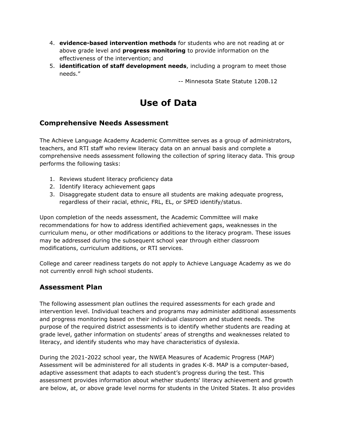- 4. **evidence-based intervention methods** for students who are not reading at or above grade level and **progress monitoring** to provide information on the effectiveness of the intervention; and
- 5. **identification of staff development needs**, including a program to meet those needs."

-- Minnesota State Statute 120B.12

# **Use of Data**

### **Comprehensive Needs Assessment**

The Achieve Language Academy Academic Committee serves as a group of administrators, teachers, and RTI staff who review literacy data on an annual basis and complete a comprehensive needs assessment following the collection of spring literacy data. This group performs the following tasks:

- 1. Reviews student literacy proficiency data
- 2. Identify literacy achievement gaps
- 3. Disaggregate student data to ensure all students are making adequate progress, regardless of their racial, ethnic, FRL, EL, or SPED identify/status.

Upon completion of the needs assessment, the Academic Committee will make recommendations for how to address identified achievement gaps, weaknesses in the curriculum menu, or other modifications or additions to the literacy program. These issues may be addressed during the subsequent school year through either classroom modifications, curriculum additions, or RTI services.

College and career readiness targets do not apply to Achieve Language Academy as we do not currently enroll high school students.

### **Assessment Plan**

The following assessment plan outlines the required assessments for each grade and intervention level. Individual teachers and programs may administer additional assessments and progress monitoring based on their individual classroom and student needs. The purpose of the required district assessments is to identify whether students are reading at grade level, gather information on students' areas of strengths and weaknesses related to literacy, and identify students who may have characteristics of dyslexia.

During the 2021-2022 school year, the NWEA Measures of Academic Progress (MAP) Assessment will be administered for all students in grades K-8. MAP is a computer-based, adaptive assessment that adapts to each student's progress during the test. This assessment provides information about whether students' literacy achievement and growth are below, at, or above grade level norms for students in the United States. It also provides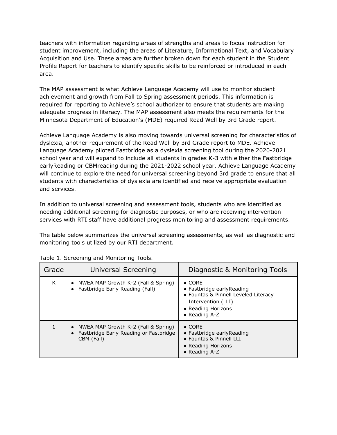teachers with information regarding areas of strengths and areas to focus instruction for student improvement, including the areas of Literature, Informational Text, and Vocabulary Acquisition and Use. These areas are further broken down for each student in the Student Profile Report for teachers to identify specific skills to be reinforced or introduced in each area.

The MAP assessment is what Achieve Language Academy will use to monitor student achievement and growth from Fall to Spring assessment periods. This information is required for reporting to Achieve's school authorizer to ensure that students are making adequate progress in literacy. The MAP assessment also meets the requirements for the Minnesota Department of Education's (MDE) required Read Well by 3rd Grade report.

Achieve Language Academy is also moving towards universal screening for characteristics of dyslexia, another requirement of the Read Well by 3rd Grade report to MDE. Achieve Language Academy piloted Fastbridge as a dyslexia screening tool during the 2020-2021 school year and will expand to include all students in grades K-3 with either the Fastbridge earlyReading or CBMreading during the 2021-2022 school year. Achieve Language Academy will continue to explore the need for universal screening beyond 3rd grade to ensure that all students with characteristics of dyslexia are identified and receive appropriate evaluation and services.

In addition to universal screening and assessment tools, students who are identified as needing additional screening for diagnostic purposes, or who are receiving intervention services with RTI staff have additional progress monitoring and assessment requirements.

The table below summarizes the universal screening assessments, as well as diagnostic and monitoring tools utilized by our RTI department.

| Grade | Universal Screening                                                                                                   | Diagnostic & Monitoring Tools                                                                                                                     |
|-------|-----------------------------------------------------------------------------------------------------------------------|---------------------------------------------------------------------------------------------------------------------------------------------------|
| K     | NWEA MAP Growth K-2 (Fall & Spring)<br>$\bullet$<br>Fastbridge Early Reading (Fall)<br>$\bullet$                      | $\bullet$ CORE<br>• Fastbridge early Reading<br>• Fountas & Pinnell Leveled Literacy<br>Intervention (LLI)<br>• Reading Horizons<br>• Reading A-Z |
|       | NWEA MAP Growth K-2 (Fall & Spring)<br>$\bullet$<br>Fastbridge Early Reading or Fastbridge<br>$\bullet$<br>CBM (Fall) | $\bullet$ CORE<br>• Fastbridge early Reading<br>• Fountas & Pinnell LLI<br>• Reading Horizons<br>• Reading A-Z                                    |

|  |  | Table 1. Screening and Monitoring Tools. |  |
|--|--|------------------------------------------|--|
|  |  |                                          |  |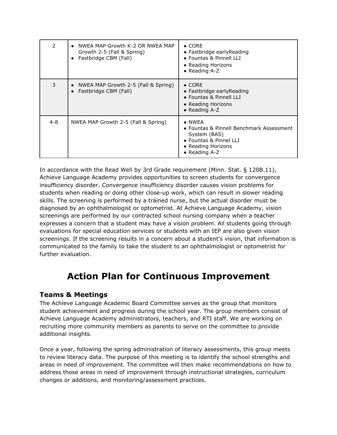| 2   | NWEA MAP Growth K-2 OR NWEA MAP<br>$\bullet$<br>Growth 2-5 (Fall & Spring)<br>Fastbridge CBM (Fall)<br>$\bullet$ | $\bullet$ CORE<br>• Fastbridge early Reading<br>• Fountas & Pinnell LLI<br>• Reading Horizons<br>• Reading $A-Z$                              |
|-----|------------------------------------------------------------------------------------------------------------------|-----------------------------------------------------------------------------------------------------------------------------------------------|
| 3   | NWEA MAP Growth 2-5 (Fall & Spring)<br>$\bullet$<br>Fastbridge CBM (Fall)<br>$\bullet$                           | $\bullet$ CORE<br>$\bullet$ Fastbridge early Reading<br>• Fountas & Pinnell LLI<br>• Reading Horizons<br>• Reading $A-Z$                      |
| 4-8 | NWEA MAP Growth 2-5 (Fall & Spring)                                                                              | $\bullet$ NWEA<br>• Fountas & Pinnell Benchmark Assessment<br>System (BAS)<br>• Fountas & Pinnel LLI<br>• Reading Horizons<br>• Reading $A-Z$ |

In accordance with the Read Well by 3rd Grade requirement (Minn. Stat. § 120B.11), Achieve Language Academy provides opportunities to screen students for convergence insufficiency disorder. Convergence insufficiency disorder causes vision problems for students when reading or doing other close-up work, which can result in slower reading skills. The screening is performed by a trained nurse, but the actual disorder must be diagnosed by an ophthalmologist or optometrist. At Achieve Language Academy, vision screenings are performed by our contracted school nursing company when a teacher expresses a concern that a student may have a vision problem. All students going through evaluations for special education services or students with an IEP are also given vision screenings. If the screening results in a concern about a student's vision, that information is communicated to the family to take the student to an ophthalmologist or optometrist for further evaluation.

# **Action Plan for Continuous Improvement**

### **Teams & Meetings**

The Achieve Language Academic Board Committee serves as the group that monitors student achievement and progress during the school year. The group members consist of Achieve Language Academy administrators, teachers, and RTI staff. We are working on recruiting more community members as parents to serve on the committee to provide additional insights.

Once a year, following the spring administration of literacy assessments, this group meets to review literacy data. The purpose of this meeting is to identify the school strengths and areas in need of improvement. The committee will then make recommendations on how to address those areas in need of improvement through instructional strategies, curriculum changes or additions, and monitoring/assessment practices.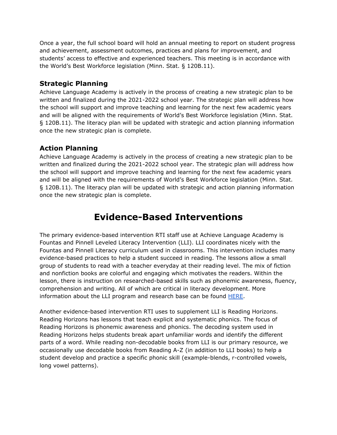Once a year, the full school board will hold an annual meeting to report on student progress and achievement, assessment outcomes, practices and plans for improvement, and students' access to effective and experienced teachers. This meeting is in accordance with the World's Best Workforce legislation (Minn. Stat. § 120B.11).

### **Strategic Planning**

Achieve Language Academy is actively in the process of creating a new strategic plan to be written and finalized during the 2021-2022 school year. The strategic plan will address how the school will support and improve teaching and learning for the next few academic years and will be aligned with the requirements of World's Best Workforce legislation (Minn. Stat. § 120B.11). The literacy plan will be updated with strategic and action planning information once the new strategic plan is complete.

### **Action Planning**

Achieve Language Academy is actively in the process of creating a new strategic plan to be written and finalized during the 2021-2022 school year. The strategic plan will address how the school will support and improve teaching and learning for the next few academic years and will be aligned with the requirements of World's Best Workforce legislation (Minn. Stat. § 120B.11). The literacy plan will be updated with strategic and action planning information once the new strategic plan is complete.

# **Evidence-Based Interventions**

The primary evidence-based intervention RTI staff use at Achieve Language Academy is Fountas and Pinnell Leveled Literacy Intervention (LLI). LLI coordinates nicely with the Fountas and Pinnell Literacy curriculum used in classrooms. This intervention includes many evidence-based practices to help a student succeed in reading. The lessons allow a small group of students to read with a teacher everyday at their reading level. The mix of fiction and nonfiction books are colorful and engaging which motivates the readers. Within the lesson, there is instruction on researched-based skills such as phonemic awareness, fluency, comprehension and writing. All of which are critical in literacy development. More information about the LLI program and research base can be found [HERE.](https://www.fountasandpinnell.com/shared/resources/FP_LLI_Research_Research-Base-for-LLI.pdf)

Another evidence-based intervention RTI uses to supplement LLI is Reading Horizons. Reading Horizons has lessons that teach explicit and systematic phonics. The focus of Reading Horizons is phonemic awareness and phonics. The decoding system used in Reading Horizons helps students break apart unfamiliar words and identify the different parts of a word. While reading non-decodable books from LLI is our primary resource, we occasionally use decodable books from Reading A-Z (in addition to LLI books) to help a student develop and practice a specific phonic skill (example-blends, r-controlled vowels, long vowel patterns).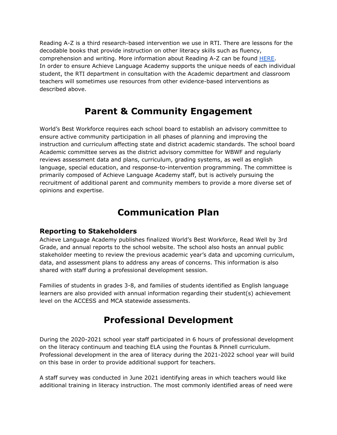Reading A-Z is a third research-based intervention we use in RTI. There are lessons for the decodable books that provide instruction on other literacy skills such as fluency, comprehension and writing. More information about Reading A-Z can be found [HERE.](https://www.readinga-z.com/updates/reading_az_white_paper.pdf) In order to ensure Achieve Language Academy supports the unique needs of each individual student, the RTI department in consultation with the Academic department and classroom teachers will sometimes use resources from other evidence-based interventions as described above.

# **Parent & Community Engagement**

World's Best Workforce requires each school board to establish an advisory committee to ensure active community participation in all phases of planning and improving the instruction and curriculum affecting state and district academic standards. The school board Academic committee serves as the district advisory committee for WBWF and regularly reviews assessment data and plans, curriculum, grading systems, as well as english language, special education, and response-to-intervention programming. The committee is primarily composed of Achieve Language Academy staff, but is actively pursuing the recruitment of additional parent and community members to provide a more diverse set of opinions and expertise.

# **Communication Plan**

### **Reporting to Stakeholders**

Achieve Language Academy publishes finalized World's Best Workforce, Read Well by 3rd Grade, and annual reports to the school website. The school also hosts an annual public stakeholder meeting to review the previous academic year's data and upcoming curriculum, data, and assessment plans to address any areas of concerns. This information is also shared with staff during a professional development session.

Families of students in grades 3-8, and families of students identified as English language learners are also provided with annual information regarding their student(s) achievement level on the ACCESS and MCA statewide assessments.

# **Professional Development**

During the 2020-2021 school year staff participated in 6 hours of professional development on the literacy continuum and teaching ELA using the Fountas & Pinnell curriculum. Professional development in the area of literacy during the 2021-2022 school year will build on this base in order to provide additional support for teachers.

A staff survey was conducted in June 2021 identifying areas in which teachers would like additional training in literacy instruction. The most commonly identified areas of need were